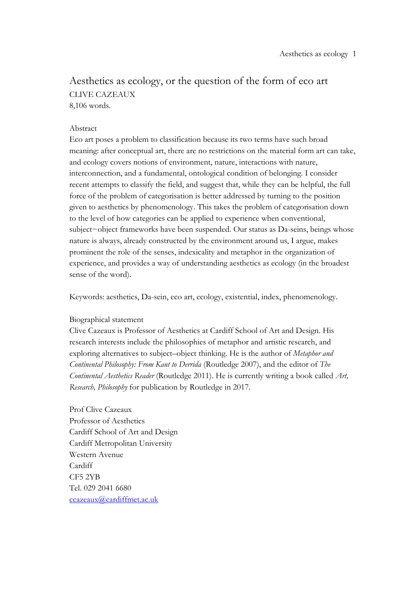## Aesthetics as ecology, or the question of the form of eco art CLIVE CAZEAUX 8,106 words.

## Abstract

Eco art poses a problem to classification because its two terms have such broad meaning: after conceptual art, there are no restrictions on the material form art can take, and ecology covers notions of environment, nature, interactions with nature, interconnection, and a fundamental, ontological condition of belonging. I consider recent attempts to classify the field, and suggest that, while they can be helpful, the full force of the problem of categorisation is better addressed by turning to the position given to aesthetics by phenomenology. This takes the problem of categorisation down to the level of how categories can be applied to experience when conventional, subject−object frameworks have been suspended. Our status as Da-seins, beings whose nature is always, already constructed by the environment around us, I argue, makes prominent the role of the senses, indexicality and metaphor in the organization of experience, and provides a way of understanding aesthetics as ecology (in the broadest sense of the word).

Keywords: aesthetics, Da-sein, eco art, ecology, existential, index, phenomenology.

## Biographical statement

Clive Cazeaux is Professor of Aesthetics at Cardiff School of Art and Design. His research interests include the philosophies of metaphor and artistic research, and exploring alternatives to subject–object thinking. He is the author of *Metaphor and Continental Philosophy: From Kant to Derrida* (Routledge 2007), and the editor of *The Continental Aesthetics Reader* (Routledge 2011). He is currently writing a book called *Art, Research, Philosophy* for publication by Routledge in 2017.

Prof Clive Cazeaux Professor of Aesthetics Cardiff School of Art and Design Cardiff Metropolitan University Western Avenue Cardiff CF5 2YB Tel. 029 2041 6680 ccazeaux@cardiffmet.ac.uk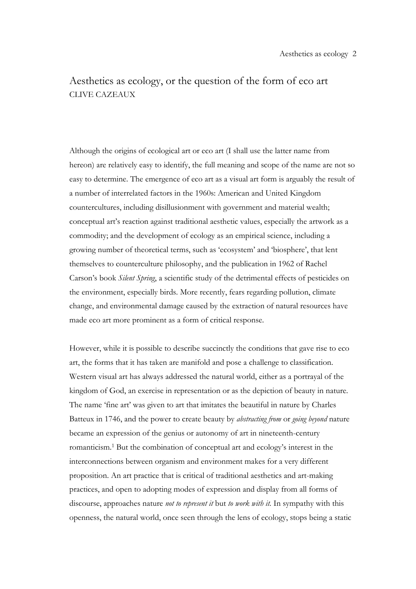# Aesthetics as ecology, or the question of the form of eco art CLIVE CAZEAUX

Although the origins of ecological art or eco art (I shall use the latter name from hereon) are relatively easy to identify, the full meaning and scope of the name are not so easy to determine. The emergence of eco art as a visual art form is arguably the result of a number of interrelated factors in the 1960s: American and United Kingdom countercultures, including disillusionment with government and material wealth; conceptual art's reaction against traditional aesthetic values, especially the artwork as a commodity; and the development of ecology as an empirical science, including a growing number of theoretical terms, such as 'ecosystem' and 'biosphere', that lent themselves to counterculture philosophy, and the publication in 1962 of Rachel Carson's book *Silent Spring*, a scientific study of the detrimental effects of pesticides on the environment, especially birds. More recently, fears regarding pollution, climate change, and environmental damage caused by the extraction of natural resources have made eco art more prominent as a form of critical response.

However, while it is possible to describe succinctly the conditions that gave rise to eco art, the forms that it has taken are manifold and pose a challenge to classification. Western visual art has always addressed the natural world, either as a portrayal of the kingdom of God, an exercise in representation or as the depiction of beauty in nature. The name 'fine art' was given to art that imitates the beautiful in nature by Charles Batteux in 1746, and the power to create beauty by *abstracting from* or *going beyond* nature became an expression of the genius or autonomy of art in nineteenth-century romanticism.1 But the combination of conceptual art and ecology's interest in the interconnections between organism and environment makes for a very different proposition. An art practice that is critical of traditional aesthetics and art-making practices, and open to adopting modes of expression and display from all forms of discourse, approaches nature *not to represent it* but *to work with it.* In sympathy with this openness, the natural world, once seen through the lens of ecology, stops being a static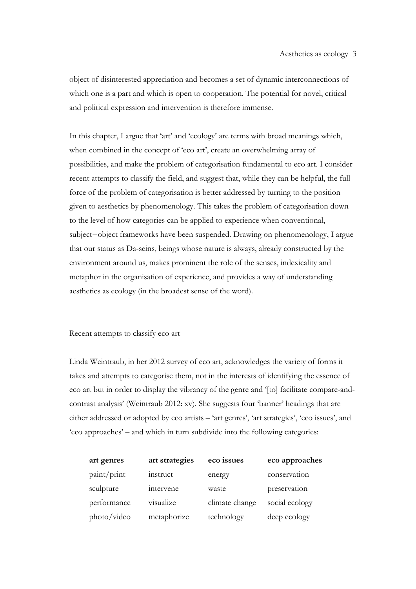object of disinterested appreciation and becomes a set of dynamic interconnections of which one is a part and which is open to cooperation. The potential for novel, critical and political expression and intervention is therefore immense.

In this chapter, I argue that 'art' and 'ecology' are terms with broad meanings which, when combined in the concept of 'eco art', create an overwhelming array of possibilities, and make the problem of categorisation fundamental to eco art. I consider recent attempts to classify the field, and suggest that, while they can be helpful, the full force of the problem of categorisation is better addressed by turning to the position given to aesthetics by phenomenology. This takes the problem of categorisation down to the level of how categories can be applied to experience when conventional, subject−object frameworks have been suspended. Drawing on phenomenology, I argue that our status as Da-seins, beings whose nature is always, already constructed by the environment around us, makes prominent the role of the senses, indexicality and metaphor in the organisation of experience, and provides a way of understanding aesthetics as ecology (in the broadest sense of the word).

## Recent attempts to classify eco art

Linda Weintraub, in her 2012 survey of eco art, acknowledges the variety of forms it takes and attempts to categorise them, not in the interests of identifying the essence of eco art but in order to display the vibrancy of the genre and '[to] facilitate compare-andcontrast analysis' (Weintraub 2012: xv). She suggests four 'banner' headings that are either addressed or adopted by eco artists – 'art genres', 'art strategies', 'eco issues', and 'eco approaches' – and which in turn subdivide into the following categories:

| art genres  | art strategies | eco issues     | eco approaches |
|-------------|----------------|----------------|----------------|
| paint/print | instruct       | energy         | conservation   |
| sculpture   | intervene      | waste          | preservation   |
| performance | visualize      | climate change | social ecology |
| photo/video | metaphorize    | technology     | deep ecology   |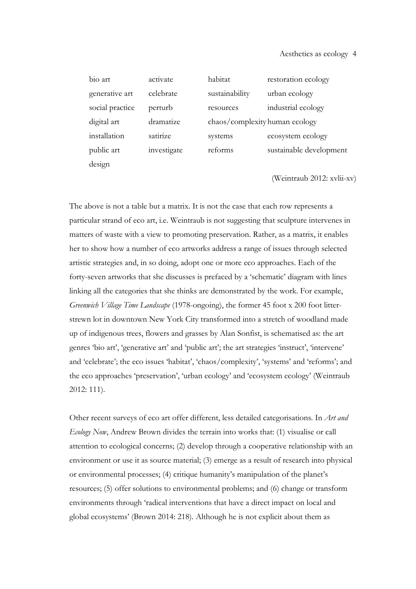| bio art         | activate    | habitat                        | restoration ecology     |
|-----------------|-------------|--------------------------------|-------------------------|
| generative art  | celebrate   | sustainability                 | urban ecology           |
| social practice | perturb     | resources                      | industrial ecology      |
| digital art     | dramatize   | chaos/complexity human ecology |                         |
| installation    | satirize    | systems                        | ecosystem ecology       |
| public art      | investigate | reforms                        | sustainable development |
| design          |             |                                |                         |

(Weintraub 2012: xvlii-xv)

The above is not a table but a matrix. It is not the case that each row represents a particular strand of eco art, i.e. Weintraub is not suggesting that sculpture intervenes in matters of waste with a view to promoting preservation. Rather, as a matrix, it enables her to show how a number of eco artworks address a range of issues through selected artistic strategies and, in so doing, adopt one or more eco approaches. Each of the forty-seven artworks that she discusses is prefaced by a 'schematic' diagram with lines linking all the categories that she thinks are demonstrated by the work. For example, *Greenwich Village Time Landscape* (1978-ongoing), the former 45 foot x 200 foot litterstrewn lot in downtown New York City transformed into a stretch of woodland made up of indigenous trees, flowers and grasses by Alan Sonfist, is schematised as: the art genres 'bio art', 'generative art' and 'public art'; the art strategies 'instruct', 'intervene' and 'celebrate'; the eco issues 'habitat', 'chaos/complexity', 'systems' and 'reforms'; and the eco approaches 'preservation', 'urban ecology' and 'ecosystem ecology' (Weintraub 2012: 111).

Other recent surveys of eco art offer different, less detailed categorisations. In *Art and Ecology Now*, Andrew Brown divides the terrain into works that: (1) visualise or call attention to ecological concerns; (2) develop through a cooperative relationship with an environment or use it as source material; (3) emerge as a result of research into physical or environmental processes; (4) critique humanity's manipulation of the planet's resources; (5) offer solutions to environmental problems; and (6) change or transform environments through 'radical interventions that have a direct impact on local and global ecosystems' (Brown 2014: 218). Although he is not explicit about them as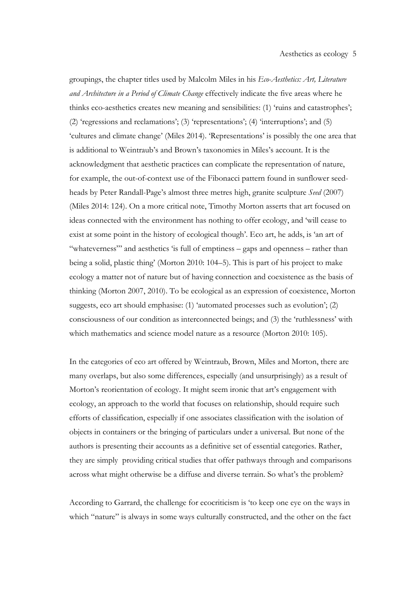groupings, the chapter titles used by Malcolm Miles in his *Eco-Aesthetics: Art, Literature and Architecture in a Period of Climate Change* effectively indicate the five areas where he thinks eco-aesthetics creates new meaning and sensibilities: (1) 'ruins and catastrophes'; (2) 'regressions and reclamations'; (3) 'representations'; (4) 'interruptions'; and (5) 'cultures and climate change' (Miles 2014). 'Representations' is possibly the one area that is additional to Weintraub's and Brown's taxonomies in Miles's account. It is the acknowledgment that aesthetic practices can complicate the representation of nature, for example, the out-of-context use of the Fibonacci pattern found in sunflower seedheads by Peter Randall-Page's almost three metres high, granite sculpture *Seed* (2007) (Miles 2014: 124). On a more critical note, Timothy Morton asserts that art focused on ideas connected with the environment has nothing to offer ecology, and 'will cease to exist at some point in the history of ecological though'. Eco art, he adds, is 'an art of "whateverness"' and aesthetics 'is full of emptiness – gaps and openness – rather than being a solid, plastic thing' (Morton 2010: 104–5). This is part of his project to make ecology a matter not of nature but of having connection and coexistence as the basis of thinking (Morton 2007, 2010). To be ecological as an expression of coexistence, Morton suggests, eco art should emphasise: (1) 'automated processes such as evolution'; (2) consciousness of our condition as interconnected beings; and (3) the 'ruthlessness' with which mathematics and science model nature as a resource (Morton 2010: 105).

In the categories of eco art offered by Weintraub, Brown, Miles and Morton, there are many overlaps, but also some differences, especially (and unsurprisingly) as a result of Morton's reorientation of ecology. It might seem ironic that art's engagement with ecology, an approach to the world that focuses on relationship, should require such efforts of classification, especially if one associates classification with the isolation of objects in containers or the bringing of particulars under a universal. But none of the authors is presenting their accounts as a definitive set of essential categories. Rather, they are simply providing critical studies that offer pathways through and comparisons across what might otherwise be a diffuse and diverse terrain. So what's the problem?

According to Garrard, the challenge for ecocriticism is 'to keep one eye on the ways in which "nature" is always in some ways culturally constructed, and the other on the fact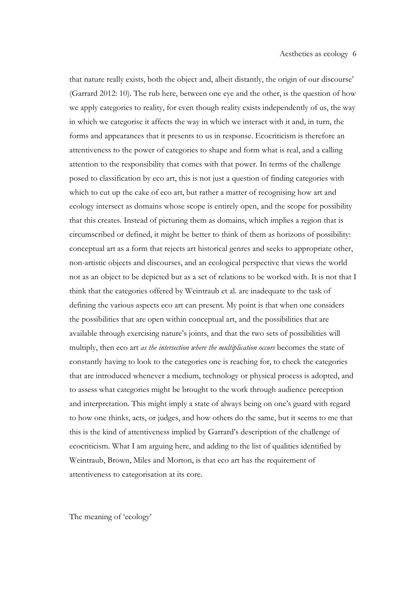that nature really exists, both the object and, albeit distantly, the origin of our discourse' (Garrard 2012: 10). The rub here, between one eye and the other, is the question of how we apply categories to reality, for even though reality exists independently of us, the way in which we categorise it affects the way in which we interact with it and, in turn, the forms and appearances that it presents to us in response. Ecocriticism is therefore an attentiveness to the power of categories to shape and form what is real, and a calling attention to the responsibility that comes with that power. In terms of the challenge posed to classification by eco art, this is not just a question of finding categories with which to cut up the cake of eco art, but rather a matter of recognising how art and ecology intersect as domains whose scope is entirely open, and the scope for possibility that this creates. Instead of picturing them as domains, which implies a region that is circumscribed or defined, it might be better to think of them as horizons of possibility: conceptual art as a form that rejects art historical genres and seeks to appropriate other, non-artistic objects and discourses, and an ecological perspective that views the world not as an object to be depicted but as a set of relations to be worked with. It is not that I think that the categories offered by Weintraub et al. are inadequate to the task of defining the various aspects eco art can present. My point is that when one considers the possibilities that are open within conceptual art, and the possibilities that are available through exercising nature's joints, and that the two sets of possibilities will multiply, then eco art *as the intersection where the multiplication occurs* becomes the state of constantly having to look to the categories one is reaching for, to check the categories that are introduced whenever a medium, technology or physical process is adopted, and to assess what categories might be brought to the work through audience perception and interpretation. This might imply a state of always being on one's guard with regard to how one thinks, acts, or judges, and how others do the same, but it seems to me that this is the kind of attentiveness implied by Garrard's description of the challenge of ecocriticism. What I am arguing here, and adding to the list of qualities identified by Weintraub, Brown, Miles and Morton, is that eco art has the requirement of attentiveness to categorisation at its core.

The meaning of 'ecology'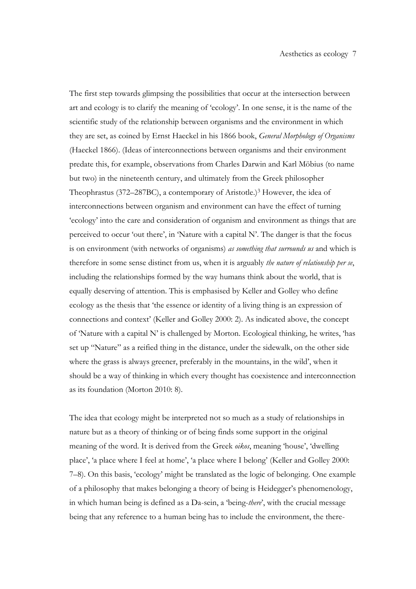The first step towards glimpsing the possibilities that occur at the intersection between art and ecology is to clarify the meaning of 'ecology'. In one sense, it is the name of the scientific study of the relationship between organisms and the environment in which they are set, as coined by Ernst Haeckel in his 1866 book, *General Morphology of Organisms* (Haeckel 1866). (Ideas of interconnections between organisms and their environment predate this, for example, observations from Charles Darwin and Karl Möbius (to name but two) in the nineteenth century, and ultimately from the Greek philosopher Theophrastus (372–287BC), a contemporary of Aristotle.)3 However, the idea of interconnections between organism and environment can have the effect of turning 'ecology' into the care and consideration of organism and environment as things that are perceived to occur 'out there', in 'Nature with a capital N'. The danger is that the focus is on environment (with networks of organisms) *as something that surrounds us* and which is therefore in some sense distinct from us, when it is arguably *the nature of relationship per se*, including the relationships formed by the way humans think about the world, that is equally deserving of attention. This is emphasised by Keller and Golley who define ecology as the thesis that 'the essence or identity of a living thing is an expression of connections and context' (Keller and Golley 2000: 2). As indicated above, the concept of 'Nature with a capital N' is challenged by Morton. Ecological thinking, he writes, 'has set up "Nature" as a reified thing in the distance, under the sidewalk, on the other side where the grass is always greener, preferably in the mountains, in the wild', when it should be a way of thinking in which every thought has coexistence and interconnection as its foundation (Morton 2010: 8).

The idea that ecology might be interpreted not so much as a study of relationships in nature but as a theory of thinking or of being finds some support in the original meaning of the word. It is derived from the Greek *oikos*, meaning 'house', 'dwelling place', 'a place where I feel at home', 'a place where I belong' (Keller and Golley 2000: 7–8). On this basis, 'ecology' might be translated as the logic of belonging. One example of a philosophy that makes belonging a theory of being is Heidegger's phenomenology, in which human being is defined as a Da-sein, a 'being-*there*', with the crucial message being that any reference to a human being has to include the environment, the there-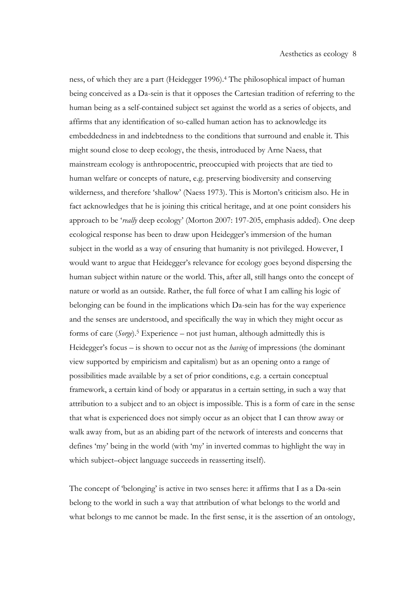ness, of which they are a part (Heidegger 1996). <sup>4</sup> The philosophical impact of human being conceived as a Da-sein is that it opposes the Cartesian tradition of referring to the human being as a self-contained subject set against the world as a series of objects, and affirms that any identification of so-called human action has to acknowledge its embeddedness in and indebtedness to the conditions that surround and enable it. This might sound close to deep ecology, the thesis, introduced by Arne Naess, that mainstream ecology is anthropocentric, preoccupied with projects that are tied to human welfare or concepts of nature, e.g. preserving biodiversity and conserving wilderness, and therefore 'shallow' (Naess 1973). This is Morton's criticism also. He in fact acknowledges that he is joining this critical heritage, and at one point considers his approach to be '*really* deep ecology' (Morton 2007: 197-205, emphasis added). One deep ecological response has been to draw upon Heidegger's immersion of the human subject in the world as a way of ensuring that humanity is not privileged. However, I would want to argue that Heidegger's relevance for ecology goes beyond dispersing the human subject within nature or the world. This, after all, still hangs onto the concept of nature or world as an outside. Rather, the full force of what I am calling his logic of belonging can be found in the implications which Da-sein has for the way experience and the senses are understood, and specifically the way in which they might occur as forms of care (*Sorge*).5 Experience – not just human, although admittedly this is Heidegger's focus – is shown to occur not as the *having* of impressions (the dominant view supported by empiricism and capitalism) but as an opening onto a range of possibilities made available by a set of prior conditions, e.g. a certain conceptual framework, a certain kind of body or apparatus in a certain setting, in such a way that attribution to a subject and to an object is impossible. This is a form of care in the sense that what is experienced does not simply occur as an object that I can throw away or walk away from, but as an abiding part of the network of interests and concerns that defines 'my' being in the world (with 'my' in inverted commas to highlight the way in which subject–object language succeeds in reasserting itself).

The concept of 'belonging' is active in two senses here: it affirms that I as a Da-sein belong to the world in such a way that attribution of what belongs to the world and what belongs to me cannot be made. In the first sense, it is the assertion of an ontology,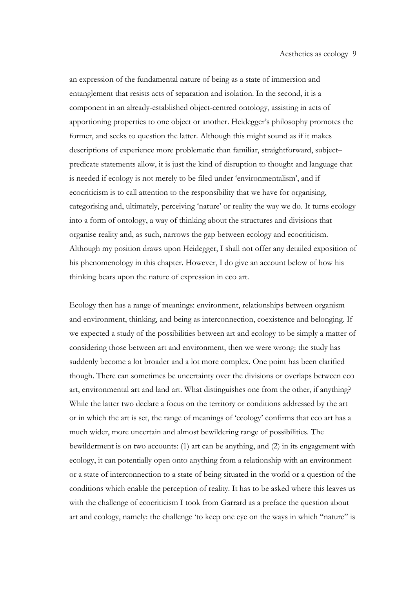an expression of the fundamental nature of being as a state of immersion and entanglement that resists acts of separation and isolation. In the second, it is a component in an already-established object-centred ontology, assisting in acts of apportioning properties to one object or another. Heidegger's philosophy promotes the former, and seeks to question the latter. Although this might sound as if it makes descriptions of experience more problematic than familiar, straightforward, subject– predicate statements allow, it is just the kind of disruption to thought and language that is needed if ecology is not merely to be filed under 'environmentalism', and if ecocriticism is to call attention to the responsibility that we have for organising, categorising and, ultimately, perceiving 'nature' or reality the way we do. It turns ecology into a form of ontology, a way of thinking about the structures and divisions that organise reality and, as such, narrows the gap between ecology and ecocriticism. Although my position draws upon Heidegger, I shall not offer any detailed exposition of his phenomenology in this chapter. However, I do give an account below of how his thinking bears upon the nature of expression in eco art.

Ecology then has a range of meanings: environment, relationships between organism and environment, thinking, and being as interconnection, coexistence and belonging. If we expected a study of the possibilities between art and ecology to be simply a matter of considering those between art and environment, then we were wrong: the study has suddenly become a lot broader and a lot more complex. One point has been clarified though. There can sometimes be uncertainty over the divisions or overlaps between eco art, environmental art and land art. What distinguishes one from the other, if anything? While the latter two declare a focus on the territory or conditions addressed by the art or in which the art is set, the range of meanings of 'ecology' confirms that eco art has a much wider, more uncertain and almost bewildering range of possibilities. The bewilderment is on two accounts: (1) art can be anything, and (2) in its engagement with ecology, it can potentially open onto anything from a relationship with an environment or a state of interconnection to a state of being situated in the world or a question of the conditions which enable the perception of reality. It has to be asked where this leaves us with the challenge of ecocriticism I took from Garrard as a preface the question about art and ecology, namely: the challenge 'to keep one eye on the ways in which "nature" is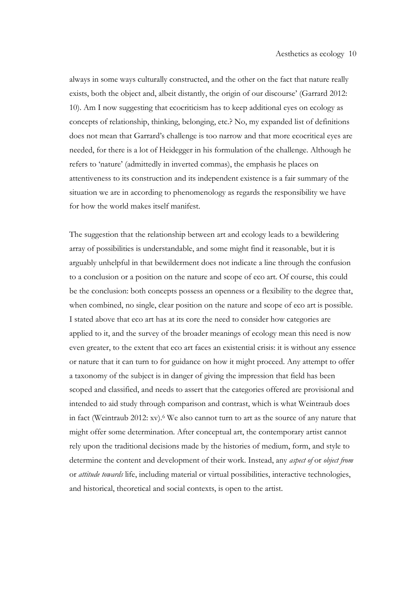always in some ways culturally constructed, and the other on the fact that nature really exists, both the object and, albeit distantly, the origin of our discourse' (Garrard 2012: 10). Am I now suggesting that ecocriticism has to keep additional eyes on ecology as concepts of relationship, thinking, belonging, etc.? No, my expanded list of definitions does not mean that Garrard's challenge is too narrow and that more ecocritical eyes are needed, for there is a lot of Heidegger in his formulation of the challenge. Although he refers to 'nature' (admittedly in inverted commas), the emphasis he places on attentiveness to its construction and its independent existence is a fair summary of the situation we are in according to phenomenology as regards the responsibility we have for how the world makes itself manifest.

The suggestion that the relationship between art and ecology leads to a bewildering array of possibilities is understandable, and some might find it reasonable, but it is arguably unhelpful in that bewilderment does not indicate a line through the confusion to a conclusion or a position on the nature and scope of eco art. Of course, this could be the conclusion: both concepts possess an openness or a flexibility to the degree that, when combined, no single, clear position on the nature and scope of eco art is possible. I stated above that eco art has at its core the need to consider how categories are applied to it, and the survey of the broader meanings of ecology mean this need is now even greater, to the extent that eco art faces an existential crisis: it is without any essence or nature that it can turn to for guidance on how it might proceed. Any attempt to offer a taxonomy of the subject is in danger of giving the impression that field has been scoped and classified, and needs to assert that the categories offered are provisional and intended to aid study through comparison and contrast, which is what Weintraub does in fact (Weintraub 2012: xv).6 We also cannot turn to art as the source of any nature that might offer some determination. After conceptual art, the contemporary artist cannot rely upon the traditional decisions made by the histories of medium, form, and style to determine the content and development of their work. Instead, any *aspect of* or *object from* or *attitude towards* life, including material or virtual possibilities, interactive technologies, and historical, theoretical and social contexts, is open to the artist.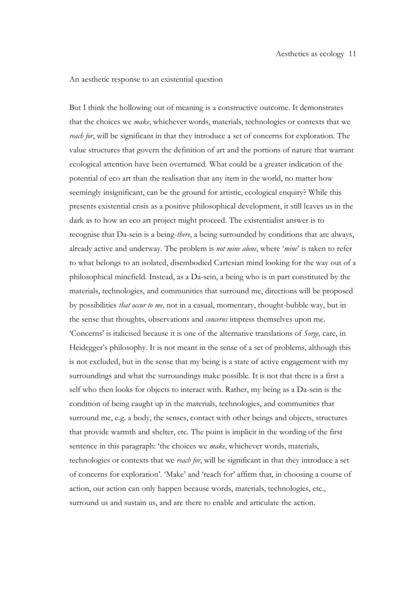#### An aesthetic response to an existential question

But I think the hollowing out of meaning is a constructive outcome. It demonstrates that the choices we *make*, whichever words, materials, technologies or contexts that we *reach for*, will be significant in that they introduce a set of concerns for exploration. The value structures that govern the definition of art and the portions of nature that warrant ecological attention have been overturned. What could be a greater indication of the potential of eco art than the realisation that any item in the world, no matter how seemingly insignificant, can be the ground for artistic, ecological enquiry? While this presents existential crisis as a positive philosophical development, it still leaves us in the dark as to how an eco art project might proceed. The existentialist answer is to recognise that Da-sein is a being-*there*, a being surrounded by conditions that are always, already active and underway. The problem is *not mine alone*, where '*mine*' is taken to refer to what belongs to an isolated, disembodied Cartesian mind looking for the way out of a philosophical minefield. Instead, as a Da-sein, a being who is in part constituted by the materials, technologies, and communities that surround me, directions will be proposed by possibilities *that occur to me,* not in a casual, momentary, thought-bubble way, but in the sense that thoughts, observations and *concerns* impress themselves upon me. 'Concerns' is italicised because it is one of the alternative translations of *Sorge,* care, in Heidegger's philosophy. It is not meant in the sense of a set of problems, although this is not excluded, but in the sense that my being is a state of active engagement with my surroundings and what the surroundings make possible. It is not that there is a first a self who then looks for objects to interact with. Rather, my being as a Da-sein is the condition of being caught up in the materials, technologies, and communities that surround me, e.g. a body, the senses, contact with other beings and objects, structures that provide warmth and shelter, etc. The point is implicit in the wording of the first sentence in this paragraph: 'the choices we *make*, whichever words, materials, technologies or contexts that we *reach for*, will be significant in that they introduce a set of concerns for exploration'. 'Make' and 'reach for' affirm that, in choosing a course of action, our action can only happen because words, materials, technologies, etc., surround us and sustain us, and are there to enable and articulate the action.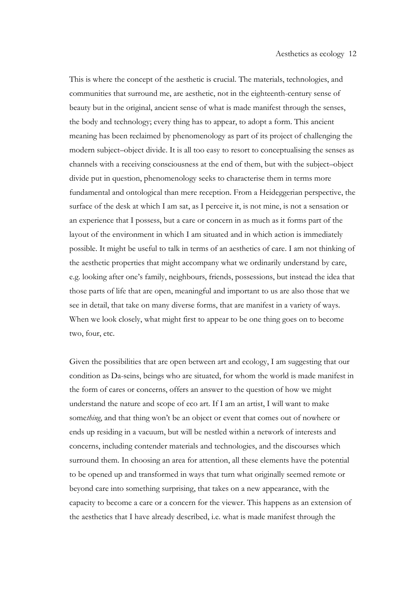This is where the concept of the aesthetic is crucial. The materials, technologies, and communities that surround me, are aesthetic, not in the eighteenth-century sense of beauty but in the original, ancient sense of what is made manifest through the senses, the body and technology; every thing has to appear, to adopt a form. This ancient meaning has been reclaimed by phenomenology as part of its project of challenging the modern subject–object divide. It is all too easy to resort to conceptualising the senses as channels with a receiving consciousness at the end of them, but with the subject–object divide put in question, phenomenology seeks to characterise them in terms more fundamental and ontological than mere reception. From a Heideggerian perspective, the surface of the desk at which I am sat, as I perceive it, is not mine, is not a sensation or an experience that I possess, but a care or concern in as much as it forms part of the layout of the environment in which I am situated and in which action is immediately possible. It might be useful to talk in terms of an aesthetics of care. I am not thinking of the aesthetic properties that might accompany what we ordinarily understand by care, e.g. looking after one's family, neighbours, friends, possessions, but instead the idea that those parts of life that are open, meaningful and important to us are also those that we see in detail, that take on many diverse forms, that are manifest in a variety of ways. When we look closely, what might first to appear to be one thing goes on to become two, four, etc.

Given the possibilities that are open between art and ecology, I am suggesting that our condition as Da-seins, beings who are situated, for whom the world is made manifest in the form of cares or concerns, offers an answer to the question of how we might understand the nature and scope of eco art. If I am an artist, I will want to make some*thing*, and that thing won't be an object or event that comes out of nowhere or ends up residing in a vacuum, but will be nestled within a network of interests and concerns, including contender materials and technologies, and the discourses which surround them. In choosing an area for attention, all these elements have the potential to be opened up and transformed in ways that turn what originally seemed remote or beyond care into something surprising, that takes on a new appearance, with the capacity to become a care or a concern for the viewer. This happens as an extension of the aesthetics that I have already described, i.e. what is made manifest through the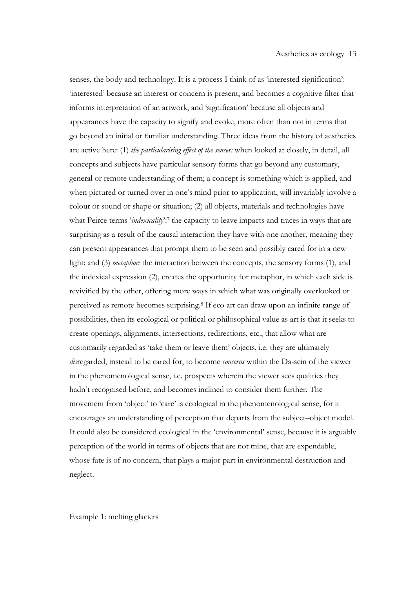senses, the body and technology. It is a process I think of as 'interested signification': 'interested' because an interest or concern is present, and becomes a cognitive filter that informs interpretation of an artwork, and 'signification' because all objects and appearances have the capacity to signify and evoke, more often than not in terms that go beyond an initial or familiar understanding. Three ideas from the history of aesthetics are active here: (1) *the particularising effect of the senses:* when looked at closely, in detail, all concepts and subjects have particular sensory forms that go beyond any customary, general or remote understanding of them; a concept is something which is applied, and when pictured or turned over in one's mind prior to application, will invariably involve a colour or sound or shape or situation; (2) all objects, materials and technologies have what Peirce terms '*indexicality*':<sup>7</sup> the capacity to leave impacts and traces in ways that are surprising as a result of the causal interaction they have with one another, meaning they can present appearances that prompt them to be seen and possibly cared for in a new light; and (3) *metaphor:* the interaction between the concepts, the sensory forms (1), and the indexical expression (2), creates the opportunity for metaphor, in which each side is revivified by the other, offering more ways in which what was originally overlooked or perceived as remote becomes surprising.8 If eco art can draw upon an infinite range of possibilities, then its ecological or political or philosophical value as art is that it seeks to create openings, alignments, intersections, redirections, etc., that allow what are customarily regarded as 'take them or leave them' objects, i.e. they are ultimately *dis*regarded, instead to be cared for, to become *concerns* within the Da-sein of the viewer in the phenomenological sense, i.e. prospects wherein the viewer sees qualities they hadn't recognised before, and becomes inclined to consider them further. The movement from 'object' to 'care' is ecological in the phenomenological sense, for it encourages an understanding of perception that departs from the subject–object model. It could also be considered ecological in the 'environmental' sense, because it is arguably perception of the world in terms of objects that are not mine, that are expendable, whose fate is of no concern, that plays a major part in environmental destruction and neglect.

Example 1: melting glaciers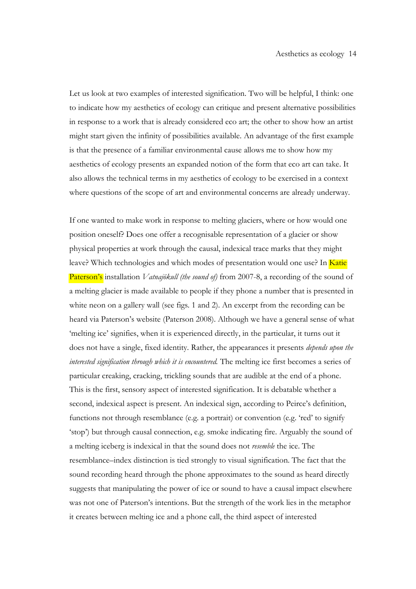Let us look at two examples of interested signification. Two will be helpful, I think: one to indicate how my aesthetics of ecology can critique and present alternative possibilities in response to a work that is already considered eco art; the other to show how an artist might start given the infinity of possibilities available. An advantage of the first example is that the presence of a familiar environmental cause allows me to show how my aesthetics of ecology presents an expanded notion of the form that eco art can take. It also allows the technical terms in my aesthetics of ecology to be exercised in a context where questions of the scope of art and environmental concerns are already underway.

If one wanted to make work in response to melting glaciers, where or how would one position oneself? Does one offer a recognisable representation of a glacier or show physical properties at work through the causal, indexical trace marks that they might leave? Which technologies and which modes of presentation would one use? In Katie Paterson's installation *Vatnajökull (the sound of)* from 2007-8, a recording of the sound of a melting glacier is made available to people if they phone a number that is presented in white neon on a gallery wall (see figs. 1 and 2). An excerpt from the recording can be heard via Paterson's website (Paterson 2008). Although we have a general sense of what 'melting ice' signifies, when it is experienced directly, in the particular, it turns out it does not have a single, fixed identity. Rather, the appearances it presents *depends upon the interested signification through which it is encountered.* The melting ice first becomes a series of particular creaking, cracking, trickling sounds that are audible at the end of a phone. This is the first, sensory aspect of interested signification. It is debatable whether a second, indexical aspect is present. An indexical sign, according to Peirce's definition, functions not through resemblance (e.g. a portrait) or convention (e.g. 'red' to signify 'stop') but through causal connection, e.g. smoke indicating fire. Arguably the sound of a melting iceberg is indexical in that the sound does not *resemble* the ice. The resemblance–index distinction is tied strongly to visual signification. The fact that the sound recording heard through the phone approximates to the sound as heard directly suggests that manipulating the power of ice or sound to have a causal impact elsewhere was not one of Paterson's intentions. But the strength of the work lies in the metaphor it creates between melting ice and a phone call, the third aspect of interested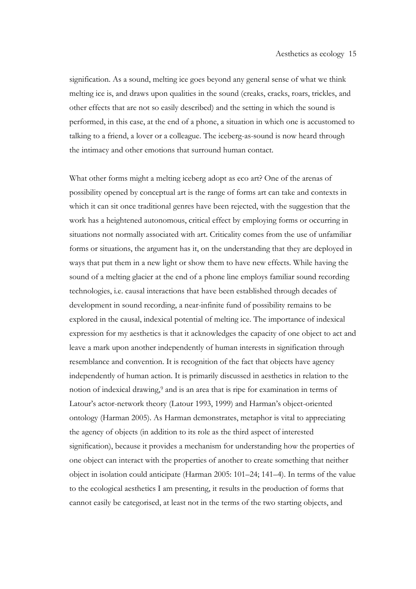signification. As a sound, melting ice goes beyond any general sense of what we think melting ice is, and draws upon qualities in the sound (creaks, cracks, roars, trickles, and other effects that are not so easily described) and the setting in which the sound is performed, in this case, at the end of a phone, a situation in which one is accustomed to talking to a friend, a lover or a colleague. The iceberg-as-sound is now heard through the intimacy and other emotions that surround human contact.

What other forms might a melting iceberg adopt as eco art? One of the arenas of possibility opened by conceptual art is the range of forms art can take and contexts in which it can sit once traditional genres have been rejected, with the suggestion that the work has a heightened autonomous, critical effect by employing forms or occurring in situations not normally associated with art. Criticality comes from the use of unfamiliar forms or situations, the argument has it, on the understanding that they are deployed in ways that put them in a new light or show them to have new effects. While having the sound of a melting glacier at the end of a phone line employs familiar sound recording technologies, i.e. causal interactions that have been established through decades of development in sound recording, a near-infinite fund of possibility remains to be explored in the causal, indexical potential of melting ice. The importance of indexical expression for my aesthetics is that it acknowledges the capacity of one object to act and leave a mark upon another independently of human interests in signification through resemblance and convention. It is recognition of the fact that objects have agency independently of human action. It is primarily discussed in aesthetics in relation to the notion of indexical drawing,9 and is an area that is ripe for examination in terms of Latour's actor-network theory (Latour 1993, 1999) and Harman's object-oriented ontology (Harman 2005). As Harman demonstrates, metaphor is vital to appreciating the agency of objects (in addition to its role as the third aspect of interested signification), because it provides a mechanism for understanding how the properties of one object can interact with the properties of another to create something that neither object in isolation could anticipate (Harman 2005: 101–24; 141–4). In terms of the value to the ecological aesthetics I am presenting, it results in the production of forms that cannot easily be categorised, at least not in the terms of the two starting objects, and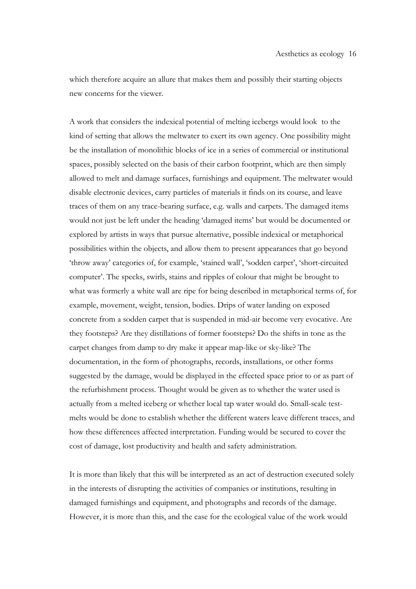which therefore acquire an allure that makes them and possibly their starting objects new concerns for the viewer.

A work that considers the indexical potential of melting icebergs would look to the kind of setting that allows the meltwater to exert its own agency. One possibility might be the installation of monolithic blocks of ice in a series of commercial or institutional spaces, possibly selected on the basis of their carbon footprint, which are then simply allowed to melt and damage surfaces, furnishings and equipment. The meltwater would disable electronic devices, carry particles of materials it finds on its course, and leave traces of them on any trace-bearing surface, e.g. walls and carpets. The damaged items would not just be left under the heading 'damaged items' but would be documented or explored by artists in ways that pursue alternative, possible indexical or metaphorical possibilities within the objects, and allow them to present appearances that go beyond 'throw away' categories of, for example, 'stained wall', 'sodden carpet', 'short-circuited computer'. The specks, swirls, stains and ripples of colour that might be brought to what was formerly a white wall are ripe for being described in metaphorical terms of, for example, movement, weight, tension, bodies. Drips of water landing on exposed concrete from a sodden carpet that is suspended in mid-air become very evocative. Are they footsteps? Are they distillations of former footsteps? Do the shifts in tone as the carpet changes from damp to dry make it appear map-like or sky-like? The documentation, in the form of photographs, records, installations, or other forms suggested by the damage, would be displayed in the effected space prior to or as part of the refurbishment process. Thought would be given as to whether the water used is actually from a melted iceberg or whether local tap water would do. Small-scale testmelts would be done to establish whether the different waters leave different traces, and how these differences affected interpretation. Funding would be secured to cover the cost of damage, lost productivity and health and safety administration.

It is more than likely that this will be interpreted as an act of destruction executed solely in the interests of disrupting the activities of companies or institutions, resulting in damaged furnishings and equipment, and photographs and records of the damage. However, it is more than this, and the case for the ecological value of the work would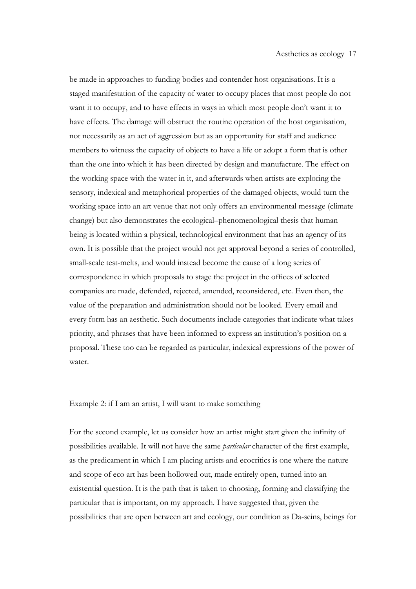be made in approaches to funding bodies and contender host organisations. It is a staged manifestation of the capacity of water to occupy places that most people do not want it to occupy, and to have effects in ways in which most people don't want it to have effects. The damage will obstruct the routine operation of the host organisation, not necessarily as an act of aggression but as an opportunity for staff and audience members to witness the capacity of objects to have a life or adopt a form that is other than the one into which it has been directed by design and manufacture. The effect on the working space with the water in it, and afterwards when artists are exploring the sensory, indexical and metaphorical properties of the damaged objects, would turn the working space into an art venue that not only offers an environmental message (climate change) but also demonstrates the ecological–phenomenological thesis that human being is located within a physical, technological environment that has an agency of its own. It is possible that the project would not get approval beyond a series of controlled, small-scale test-melts, and would instead become the cause of a long series of correspondence in which proposals to stage the project in the offices of selected companies are made, defended, rejected, amended, reconsidered, etc. Even then, the value of the preparation and administration should not be looked. Every email and every form has an aesthetic. Such documents include categories that indicate what takes priority, and phrases that have been informed to express an institution's position on a proposal. These too can be regarded as particular, indexical expressions of the power of water.

Example 2: if I am an artist, I will want to make something

For the second example, let us consider how an artist might start given the infinity of possibilities available. It will not have the same *particular* character of the first example, as the predicament in which I am placing artists and ecocritics is one where the nature and scope of eco art has been hollowed out, made entirely open, turned into an existential question. It is the path that is taken to choosing, forming and classifying the particular that is important, on my approach. I have suggested that, given the possibilities that are open between art and ecology, our condition as Da-seins, beings for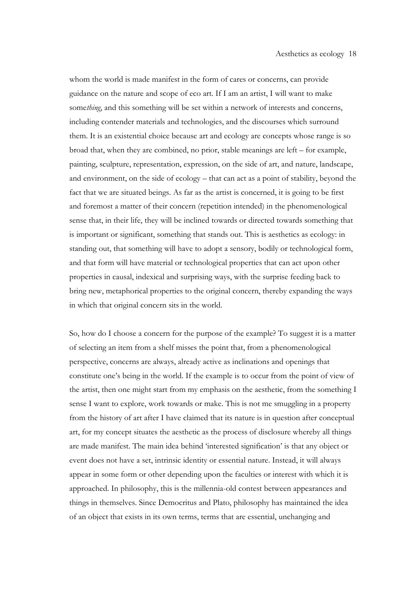whom the world is made manifest in the form of cares or concerns, can provide guidance on the nature and scope of eco art. If I am an artist, I will want to make some*thing*, and this something will be set within a network of interests and concerns, including contender materials and technologies, and the discourses which surround them. It is an existential choice because art and ecology are concepts whose range is so broad that, when they are combined, no prior, stable meanings are left – for example, painting, sculpture, representation, expression, on the side of art, and nature, landscape, and environment, on the side of ecology – that can act as a point of stability, beyond the fact that we are situated beings. As far as the artist is concerned, it is going to be first and foremost a matter of their concern (repetition intended) in the phenomenological sense that, in their life, they will be inclined towards or directed towards something that is important or significant, something that stands out. This is aesthetics as ecology: in standing out, that something will have to adopt a sensory, bodily or technological form, and that form will have material or technological properties that can act upon other properties in causal, indexical and surprising ways, with the surprise feeding back to bring new, metaphorical properties to the original concern, thereby expanding the ways in which that original concern sits in the world.

So, how do I choose a concern for the purpose of the example? To suggest it is a matter of selecting an item from a shelf misses the point that, from a phenomenological perspective, concerns are always, already active as inclinations and openings that constitute one's being in the world. If the example is to occur from the point of view of the artist, then one might start from my emphasis on the aesthetic, from the something I sense I want to explore, work towards or make. This is not me smuggling in a property from the history of art after I have claimed that its nature is in question after conceptual art, for my concept situates the aesthetic as the process of disclosure whereby all things are made manifest. The main idea behind 'interested signification' is that any object or event does not have a set, intrinsic identity or essential nature. Instead, it will always appear in some form or other depending upon the faculties or interest with which it is approached. In philosophy, this is the millennia-old contest between appearances and things in themselves. Since Democritus and Plato, philosophy has maintained the idea of an object that exists in its own terms, terms that are essential, unchanging and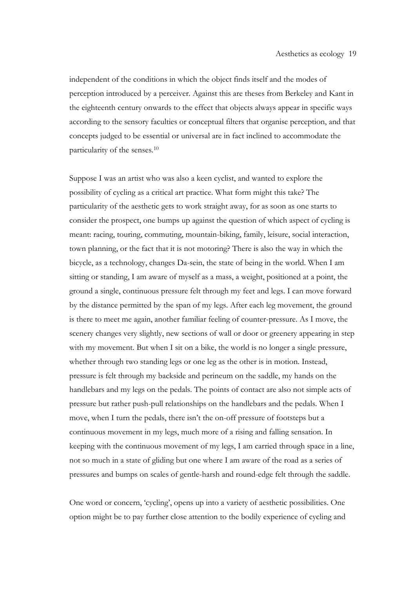independent of the conditions in which the object finds itself and the modes of perception introduced by a perceiver. Against this are theses from Berkeley and Kant in the eighteenth century onwards to the effect that objects always appear in specific ways according to the sensory faculties or conceptual filters that organise perception, and that concepts judged to be essential or universal are in fact inclined to accommodate the particularity of the senses.10

Suppose I was an artist who was also a keen cyclist, and wanted to explore the possibility of cycling as a critical art practice. What form might this take? The particularity of the aesthetic gets to work straight away, for as soon as one starts to consider the prospect, one bumps up against the question of which aspect of cycling is meant: racing, touring, commuting, mountain-biking, family, leisure, social interaction, town planning, or the fact that it is not motoring? There is also the way in which the bicycle, as a technology, changes Da-sein, the state of being in the world. When I am sitting or standing, I am aware of myself as a mass, a weight, positioned at a point, the ground a single, continuous pressure felt through my feet and legs. I can move forward by the distance permitted by the span of my legs. After each leg movement, the ground is there to meet me again, another familiar feeling of counter-pressure. As I move, the scenery changes very slightly, new sections of wall or door or greenery appearing in step with my movement. But when I sit on a bike, the world is no longer a single pressure, whether through two standing legs or one leg as the other is in motion. Instead, pressure is felt through my backside and perineum on the saddle, my hands on the handlebars and my legs on the pedals. The points of contact are also not simple acts of pressure but rather push-pull relationships on the handlebars and the pedals. When I move, when I turn the pedals, there isn't the on-off pressure of footsteps but a continuous movement in my legs, much more of a rising and falling sensation. In keeping with the continuous movement of my legs, I am carried through space in a line, not so much in a state of gliding but one where I am aware of the road as a series of pressures and bumps on scales of gentle-harsh and round-edge felt through the saddle.

One word or concern, 'cycling', opens up into a variety of aesthetic possibilities. One option might be to pay further close attention to the bodily experience of cycling and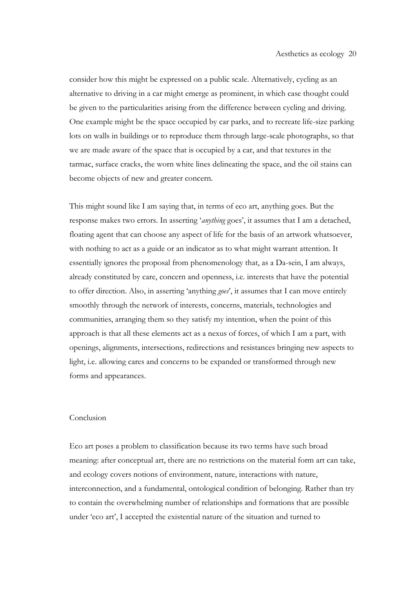consider how this might be expressed on a public scale. Alternatively, cycling as an alternative to driving in a car might emerge as prominent, in which case thought could be given to the particularities arising from the difference between cycling and driving. One example might be the space occupied by car parks, and to recreate life-size parking lots on walls in buildings or to reproduce them through large-scale photographs, so that we are made aware of the space that is occupied by a car, and that textures in the tarmac, surface cracks, the worn white lines delineating the space, and the oil stains can become objects of new and greater concern.

This might sound like I am saying that, in terms of eco art, anything goes. But the response makes two errors. In asserting '*anything* goes', it assumes that I am a detached, floating agent that can choose any aspect of life for the basis of an artwork whatsoever, with nothing to act as a guide or an indicator as to what might warrant attention. It essentially ignores the proposal from phenomenology that, as a Da-sein, I am always, already constituted by care, concern and openness, i.e. interests that have the potential to offer direction. Also, in asserting 'anything *goes*', it assumes that I can move entirely smoothly through the network of interests, concerns, materials, technologies and communities, arranging them so they satisfy my intention, when the point of this approach is that all these elements act as a nexus of forces, of which I am a part, with openings, alignments, intersections, redirections and resistances bringing new aspects to light, i.e. allowing cares and concerns to be expanded or transformed through new forms and appearances.

## Conclusion

Eco art poses a problem to classification because its two terms have such broad meaning: after conceptual art, there are no restrictions on the material form art can take, and ecology covers notions of environment, nature, interactions with nature, interconnection, and a fundamental, ontological condition of belonging. Rather than try to contain the overwhelming number of relationships and formations that are possible under 'eco art', I accepted the existential nature of the situation and turned to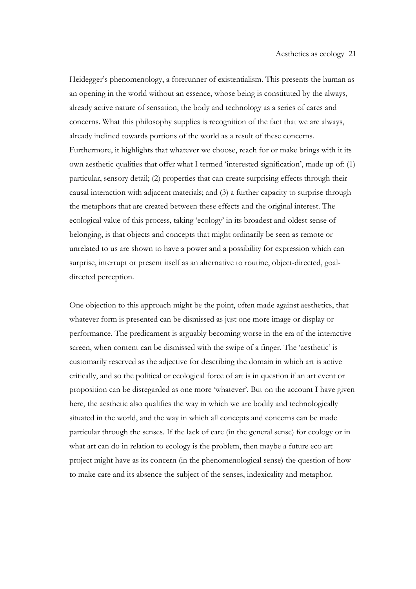Heidegger's phenomenology, a forerunner of existentialism. This presents the human as an opening in the world without an essence, whose being is constituted by the always, already active nature of sensation, the body and technology as a series of cares and concerns. What this philosophy supplies is recognition of the fact that we are always, already inclined towards portions of the world as a result of these concerns. Furthermore, it highlights that whatever we choose, reach for or make brings with it its own aesthetic qualities that offer what I termed 'interested signification', made up of: (1) particular, sensory detail; (2) properties that can create surprising effects through their causal interaction with adjacent materials; and (3) a further capacity to surprise through the metaphors that are created between these effects and the original interest. The ecological value of this process, taking 'ecology' in its broadest and oldest sense of belonging, is that objects and concepts that might ordinarily be seen as remote or unrelated to us are shown to have a power and a possibility for expression which can surprise, interrupt or present itself as an alternative to routine, object-directed, goaldirected perception.

One objection to this approach might be the point, often made against aesthetics, that whatever form is presented can be dismissed as just one more image or display or performance. The predicament is arguably becoming worse in the era of the interactive screen, when content can be dismissed with the swipe of a finger. The 'aesthetic' is customarily reserved as the adjective for describing the domain in which art is active critically, and so the political or ecological force of art is in question if an art event or proposition can be disregarded as one more 'whatever'. But on the account I have given here, the aesthetic also qualifies the way in which we are bodily and technologically situated in the world, and the way in which all concepts and concerns can be made particular through the senses. If the lack of care (in the general sense) for ecology or in what art can do in relation to ecology is the problem, then maybe a future eco art project might have as its concern (in the phenomenological sense) the question of how to make care and its absence the subject of the senses, indexicality and metaphor.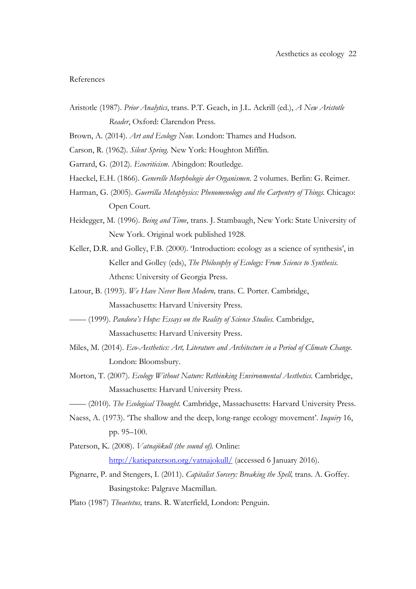### References

- Aristotle (1987). *Prior Analytics*, trans. P.T. Geach, in J.L. Ackrill (ed.), *A New Aristotle Reader*, Oxford: Clarendon Press.
- Brown, A. (2014). *Art and Ecology Now.* London: Thames and Hudson.

Carson, R. (1962). *Silent Spring.* New York: Houghton Mifflin.

- Garrard, G. (2012). *Ecocriticism*. Abingdon: Routledge.
- Haeckel, E.H. (1866). *Generelle Morphologie der Organismen.* 2 volumes. Berlin: G. Reimer.
- Harman, G. (2005). *Guerrilla Metaphysics: Phenomenology and the Carpentry of Things.* Chicago: Open Court.
- Heidegger, M. (1996). *Being and Time*, trans. J. Stambaugh, New York: State University of New York. Original work published 1928.
- Keller, D.R. and Golley, F.B. (2000). 'Introduction: ecology as a science of synthesis', in Keller and Golley (eds), *The Philosophy of Ecology: From Science to Synthesis.*  Athens: University of Georgia Press.
- Latour, B. (1993). *We Have Never Been Modern,* trans. C. Porter. Cambridge, Massachusetts: Harvard University Press.
- –––– (1999). *Pandora's Hope: Essays on the Reality of Science Studies.* Cambridge, Massachusetts: Harvard University Press.
- Miles, M. (2014). *Eco-Aesthetics: Art, Literature and Architecture in a Period of Climate Change.*  London: Bloomsbury.
- Morton, T. (2007). *Ecology Without Nature: Rethinking Environmental Aesthetics.* Cambridge, Massachusetts: Harvard University Press.
- –––– (2010). *The Ecological Thought.* Cambridge, Massachusetts: Harvard University Press.
- Naess, A. (1973). 'The shallow and the deep, long-range ecology movement'. *Inquiry* 16, pp. 95–100.
- Paterson, K. (2008). *Vatnajökull (the sound of).* Online: http://katiepaterson.org/vatnajokull/ (accessed 6 January 2016).
- Pignarre, P. and Stengers, I. (2011). *Capitalist Sorcery: Breaking the Spell,* trans. A. Goffey. Basingstoke: Palgrave Macmillan.
- Plato (1987) *Theaetetus,* trans. R. Waterfield, London: Penguin.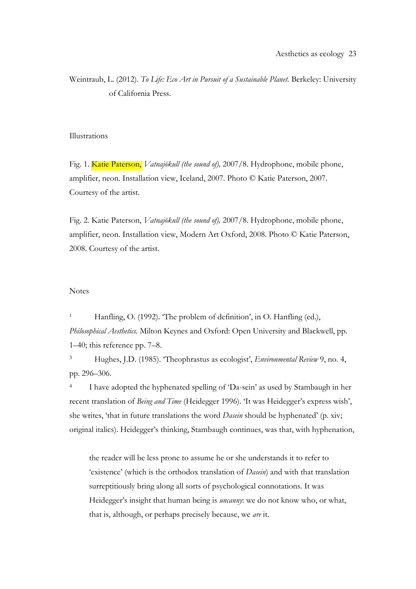Weintraub, L. (2012). *To Life: Eco Art in Pursuit of a Sustainable Planet.* Berkeley: University of California Press.

## Illustrations

Fig. 1. Katie Paterson, *Vatnajökull (the sound of),* 2007/8. Hydrophone, mobile phone, amplifier, neon. Installation view, Iceland, 2007. Photo © Katie Paterson, 2007. Courtesy of the artist.

Fig. 2. Katie Paterson, *Vatnajökull (the sound of),* 2007/8. Hydrophone, mobile phone, amplifier, neon. Installation view, Modern Art Oxford, 2008. Photo © Katie Paterson, 2008. Courtesy of the artist.

#### **Notes**

<sup>1</sup> Hanfling, O. (1992). 'The problem of definition', in O. Hanfling (ed.), *Philosophical Aesthetics.* Milton Keynes and Oxford: Open University and Blackwell, pp. 1–40; this reference pp. 7–8.

<sup>3</sup> Hughes, J.D. (1985). 'Theophrastus as ecologist', *Environmental Review* 9, no. 4, pp. 296–306.

<sup>4</sup> I have adopted the hyphenated spelling of 'Da-sein' as used by Stambaugh in her recent translation of *Being and Time* (Heidegger 1996). 'It was Heidegger's express wish', she writes, 'that in future translations the word *Dasein* should be hyphenated' (p. xiv; original italics). Heidegger's thinking, Stambaugh continues, was that, with hyphenation,

the reader will be less prone to assume he or she understands it to refer to 'existence' (which is the orthodox translation of *Dasein*) and with that translation surreptitiously bring along all sorts of psychological connotations. It was Heidegger's insight that human being is *uncanny*: we do not know who, or what, that is, although, or perhaps precisely because, we *are* it.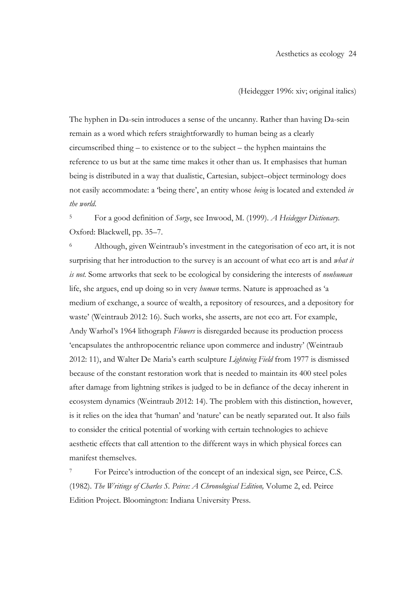(Heidegger 1996: xiv; original italics)

The hyphen in Da-sein introduces a sense of the uncanny. Rather than having Da-sein remain as a word which refers straightforwardly to human being as a clearly circumscribed thing – to existence or to the subject – the hyphen maintains the reference to us but at the same time makes it other than us. It emphasises that human being is distributed in a way that dualistic, Cartesian, subject–object terminology does not easily accommodate: a 'being there', an entity whose *being* is located and extended *in the world*.

<sup>5</sup> For a good definition of *Sorge*, see Inwood, M. (1999). *A Heidegger Dictionary.*  Oxford: Blackwell, pp. 35–7.

<sup>6</sup> Although, given Weintraub's investment in the categorisation of eco art, it is not surprising that her introduction to the survey is an account of what eco art is and *what it is not.* Some artworks that seek to be ecological by considering the interests of *nonhuman* life, she argues, end up doing so in very *human* terms. Nature is approached as 'a medium of exchange, a source of wealth, a repository of resources, and a depository for waste' (Weintraub 2012: 16). Such works, she asserts, are not eco art. For example, Andy Warhol's 1964 lithograph *Flowers* is disregarded because its production process 'encapsulates the anthropocentric reliance upon commerce and industry' (Weintraub 2012: 11), and Walter De Maria's earth sculpture *Lightning Field* from 1977 is dismissed because of the constant restoration work that is needed to maintain its 400 steel poles after damage from lightning strikes is judged to be in defiance of the decay inherent in ecosystem dynamics (Weintraub 2012: 14). The problem with this distinction, however, is it relies on the idea that 'human' and 'nature' can be neatly separated out. It also fails to consider the critical potential of working with certain technologies to achieve aesthetic effects that call attention to the different ways in which physical forces can manifest themselves.

For Peirce's introduction of the concept of an indexical sign, see Peirce, C.S. (1982). *The Writings of Charles S. Peirce: A Chronological Edition,* Volume 2, ed. Peirce Edition Project. Bloomington: Indiana University Press.